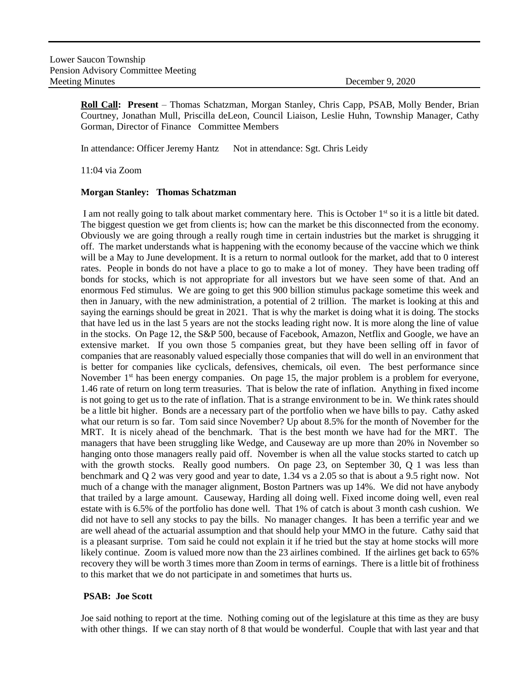**Roll Call: Present** – Thomas Schatzman, Morgan Stanley, Chris Capp, PSAB, Molly Bender, Brian Courtney, Jonathan Mull, Priscilla deLeon, Council Liaison, Leslie Huhn, Township Manager, Cathy Gorman, Director of Finance Committee Members

In attendance: Officer Jeremy Hantz Not in attendance: Sgt. Chris Leidy

11:04 via Zoom

### **Morgan Stanley: Thomas Schatzman**

I am not really going to talk about market commentary here. This is October 1<sup>st</sup> so it is a little bit dated. The biggest question we get from clients is; how can the market be this disconnected from the economy. Obviously we are going through a really rough time in certain industries but the market is shrugging it off. The market understands what is happening with the economy because of the vaccine which we think will be a May to June development. It is a return to normal outlook for the market, add that to 0 interest rates. People in bonds do not have a place to go to make a lot of money. They have been trading off bonds for stocks, which is not appropriate for all investors but we have seen some of that. And an enormous Fed stimulus. We are going to get this 900 billion stimulus package sometime this week and then in January, with the new administration, a potential of 2 trillion. The market is looking at this and saying the earnings should be great in 2021. That is why the market is doing what it is doing. The stocks that have led us in the last 5 years are not the stocks leading right now. It is more along the line of value in the stocks. On Page 12, the S&P 500, because of Facebook, Amazon, Netflix and Google, we have an extensive market. If you own those 5 companies great, but they have been selling off in favor of companies that are reasonably valued especially those companies that will do well in an environment that is better for companies like cyclicals, defensives, chemicals, oil even. The best performance since November  $1<sup>st</sup>$  has been energy companies. On page 15, the major problem is a problem for everyone, 1.46 rate of return on long term treasuries. That is below the rate of inflation. Anything in fixed income is not going to get us to the rate of inflation. That is a strange environment to be in. We think rates should be a little bit higher. Bonds are a necessary part of the portfolio when we have bills to pay. Cathy asked what our return is so far. Tom said since November? Up about 8.5% for the month of November for the MRT. It is nicely ahead of the benchmark. That is the best month we have had for the MRT. The managers that have been struggling like Wedge, and Causeway are up more than 20% in November so hanging onto those managers really paid off. November is when all the value stocks started to catch up with the growth stocks. Really good numbers. On page 23, on September 30, Q 1 was less than benchmark and Q 2 was very good and year to date, 1.34 vs a 2.05 so that is about a 9.5 right now. Not much of a change with the manager alignment, Boston Partners was up 14%. We did not have anybody that trailed by a large amount. Causeway, Harding all doing well. Fixed income doing well, even real estate with is 6.5% of the portfolio has done well. That 1% of catch is about 3 month cash cushion. We did not have to sell any stocks to pay the bills. No manager changes. It has been a terrific year and we are well ahead of the actuarial assumption and that should help your MMO in the future. Cathy said that is a pleasant surprise. Tom said he could not explain it if he tried but the stay at home stocks will more likely continue. Zoom is valued more now than the 23 airlines combined. If the airlines get back to 65% recovery they will be worth 3 times more than Zoom in terms of earnings. There is a little bit of frothiness to this market that we do not participate in and sometimes that hurts us.

# **PSAB: Joe Scott**

Joe said nothing to report at the time. Nothing coming out of the legislature at this time as they are busy with other things. If we can stay north of 8 that would be wonderful. Couple that with last year and that